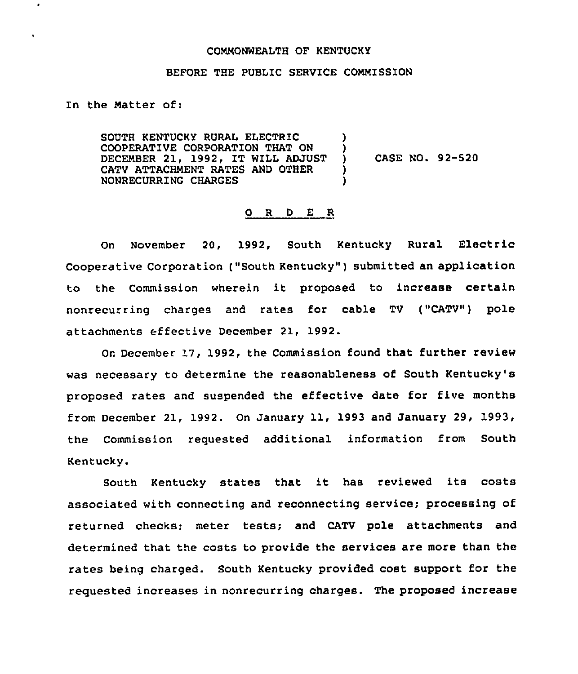## COMNONWEALTH OF KENTUCKY

#### BEFORE THE PUBLIC SERVICE COMMISSION

In the Natter of:

 $\bullet$ 

SOUTH KENTUCKY RURAL ELECTRIC COOPERATIVE CORPORATION THAT ON DECEMBER 21, 1992, IT WILL ADJUST CATV ATTACHMENT RATES AND OTHER NONRECURRING CHARGES ) ) ) )

) CASE NO. 92-520

#### 0 R <sup>D</sup> E R

On November 20, 1992, South Kentucky Rural Electric Cooperative Corporation ("South Kentucky" ) submitted an application to the Commission wherein it proposed to increase certain nonrecurring charges and rates for cable TV ("CATV") pole attachments effective December 21, 1992.

On December 17, 1992, the Commission found that further review was necessary to determine the reasonableness of South Kentucky's proposed rates and suspended the effective date for five months from December 21, 1992. On January 11, 1993 and January 29, 1993, the Commission requested additional information from South Kentucky.

South Kentucky states that it has reviewed its costs associated with connecting and reconnecting service; processing of returned checks; meter tests; and CATV pole attachments and determined that the costs to provide the services are more than the rates being charged. South Kentucky provided cost support for the requested increases in nonrecurring charges. The proposed increase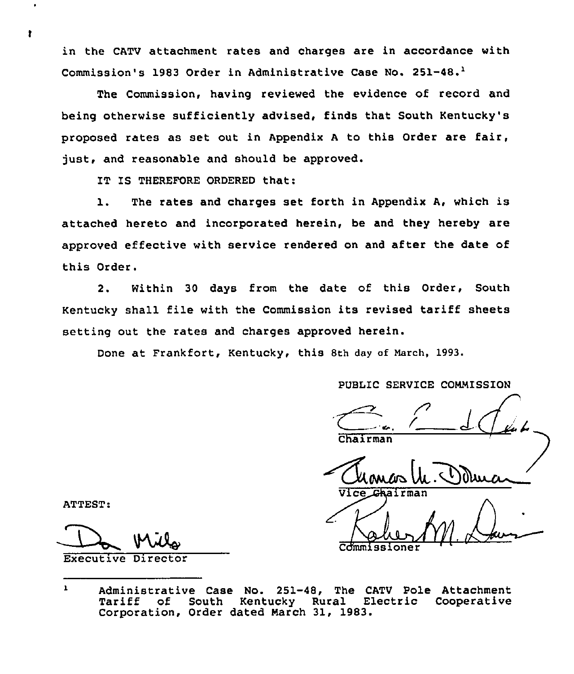in the CATV attachment rates and charges are in accordance with Commission's 1983 Order in Administrative Case No. 251-48.<sup>1</sup>

Commission, having reviewed the evidence of record and being otherwise sufficiently advised, finds that South Kentucky's proposed rates as set out in Appendix <sup>A</sup> to this Order are fair, just, and reasonable and should be approved.

IT IS THEREFORE ORDERED that:

1. The rates and charges set forth in Appendix A, which is attached hereto and incorporated herein, be and they hereby are approved effective with service rendered on and after the date of this Order.

2. Within 30 days from the date of this Order, South Kentucky shall file with the Commission its revised tariff sheets setting out the rates and charges approved herein.

Done at Frankfort, Kentucky, this 8th day of March, 1993.

PUBLIC SERVICE COMMISSION

 $d\mathcal{L}$ Chairman

4. Dolui

Commissione

ATTEST:

Executive Director

ł.

 $\mathbf{1}$ Administrative Case No. 251-48, The CATV Pole Attachment<br>Tariff of South Kentucky Rural Electric Cooperative Electric Cooperative Corporation, Order dated March 31, 1983.